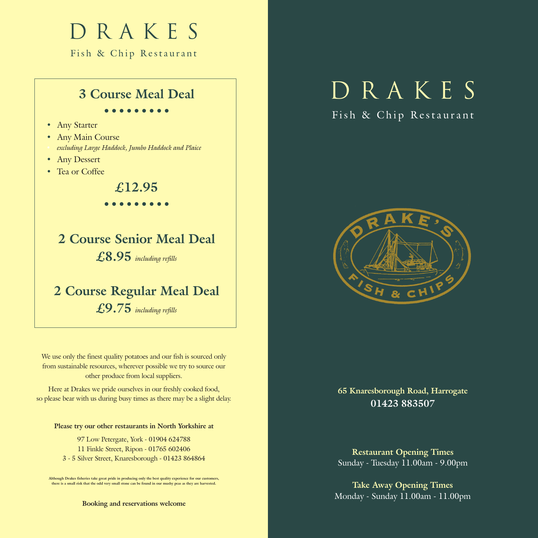## D R A K E S

Fish & Chip Restaurant

#### **3 Course Meal Deal**

#### **•••••••••**

- Any Starter
- Any Main Course
- *• excluding Large Haddock, Jumbo Haddock and Plaice*
- Any Dessert
- Tea or Coffee

#### **£12.95**

#### **•••••••••**

## **2 Course Senior Meal Deal £8.95** *including refills*

### **2 Course Regular Meal Deal £9.75** *including refills*

We use only the finest quality potatoes and our fish is sourced only from sustainable resources, wherever possible we try to source our other produce from local suppliers.

Here at Drakes we pride ourselves in our freshly cooked food, so please bear with us during busy times as there may be a slight delay.

#### **Please try our other restaurants in North Yorkshire at**

97 Low Petergate, York - 01904 624788 11 Finkle Street, Ripon - 01765 602406 3 - 5 Silver Street, Knaresborough - 01423 864864

**Although Drakes fisheries take great pride in producing only the best quality experience for our customers, there is a small risk that the odd very small stone can be found in our mushy peas as they are harvested.**

**Booking and reservations welcome**

# D R A K E S

#### Fish & Chip Restaurant



**65 Knaresborough Road, Harrogate 01423 883507**

**Restaurant Opening Times** Sunday - Tuesday 11.00am - 9.00pm

**Take Away Opening Times** Monday - Sunday 11.00am - 11.00pm